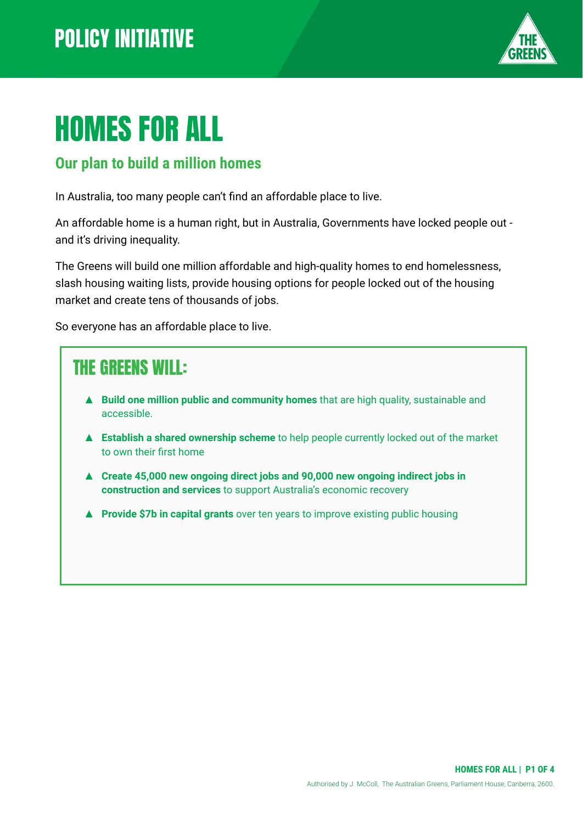

# HOMES FOR ALL

#### **Our plan to build a million homes**

In Australia, too many people can't find an affordable place to live.

An affordable home is a human right, but in Australia, Governments have locked people out and it's driving inequality.

The Greens will build one million affordable and high-quality homes to end homelessness, slash housing waiting lists, provide housing options for people locked out of the housing market and create tens of thousands of jobs.

So everyone has an affordable place to live.

#### THE GREENS WILL: ▲ **Build one million public and community homes** that are high quality, sustainable and accessible. ▲ **Establish a shared ownership scheme** to help people currently locked out of the market to own their first home ▲ **Create 45,000 new ongoing direct jobs and 90,000 new ongoing indirect jobs in construction and services** to support Australia's economic recovery

▲ **Provide \$7b in capital grants** over ten years to improve existing public housing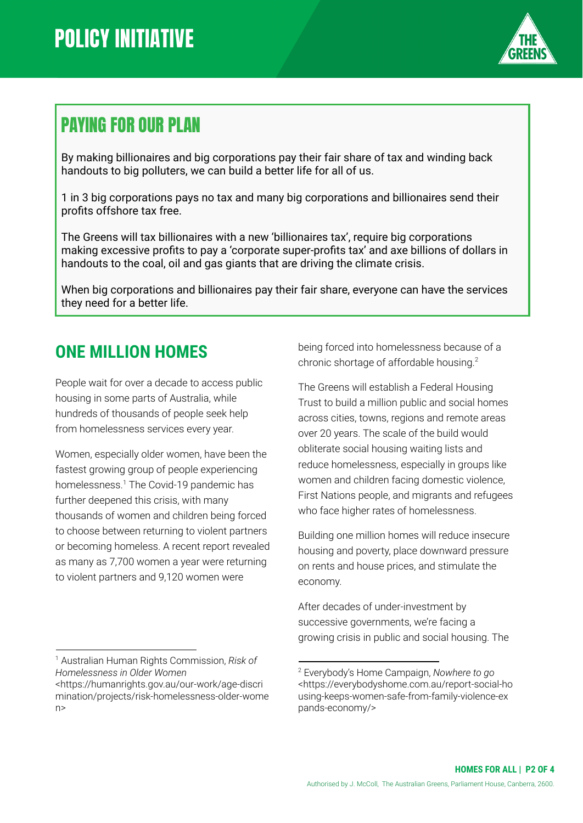

#### PAYING FOR OUR PLAN

By making billionaires and big corporations pay their fair share of tax and winding back handouts to big polluters, we can build a better life for all of us.

1 in 3 big corporations pays no tax and many big corporations and billionaires send their profits offshore tax free.

The Greens will tax billionaires with a new 'billionaires tax', require big corporations making excessive profits to pay a 'corporate super-profits tax' and axe billions of dollars in handouts to the coal, oil and gas giants that are driving the climate crisis.

When big corporations and billionaires pay their fair share, everyone can have the services they need for a better life.

#### **ONE MILLION HOMES**

People wait for over a decade to access public housing in some parts of Australia, while hundreds of thousands of people seek help from homelessness services every year.

Women, especially older women, have been the fastest growing group of people experiencing homelessness.<sup>1</sup> The Covid-19 pandemic has further deepened this crisis, with many thousands of women and children being forced to choose between returning to violent partners or becoming homeless. A recent report revealed as many as 7,700 women a year were returning to violent partners and 9,120 women were

<sup>1</sup> Australian Human Rights Commission, *Risk of Homelessness in Older Women*

being forced into homelessness because of a chronic shortage of affordable housing.<sup>2</sup>

The Greens will establish a Federal Housing Trust to build a million public and social homes across cities, towns, regions and remote areas over 20 years. The scale of the build would obliterate social housing waiting lists and reduce homelessness, especially in groups like women and children facing domestic violence, First Nations people, and migrants and refugees who face higher rates of homelessness.

Building one million homes will reduce insecure housing and poverty, place downward pressure on rents and house prices, and stimulate the economy.

After decades of under-investment by successive governments, we're facing a growing crisis in public and social housing. The

<sup>&</sup>lt;https://humanrights.gov.au/our-work/age-discri mination/projects/risk-homelessness-older-wome n>

<sup>2</sup> Everybody's Home Campaign, *Nowhere to go* <https://everybodyshome.com.au/report-social-ho using-keeps-women-safe-from-family-violence-ex pands-economy/>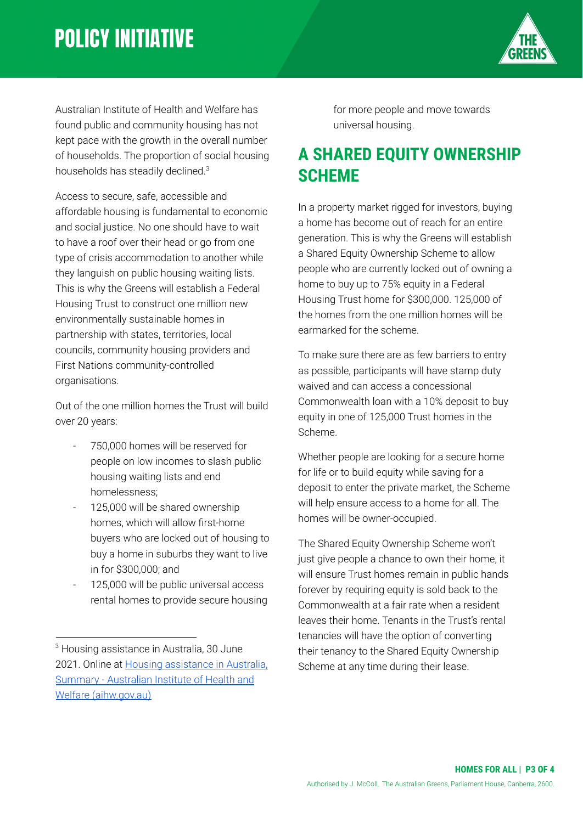## **POLICY INITIATIVE**



Australian Institute of Health and Welfare has found public and community housing has not kept pace with the growth in the overall number of households. The proportion of social housing households has steadily declined.<sup>3</sup>

Access to secure, safe, accessible and affordable housing is fundamental to economic and social justice. No one should have to wait to have a roof over their head or go from one type of crisis accommodation to another while they languish on public housing waiting lists. This is why the Greens will establish a Federal Housing Trust to construct one million new environmentally sustainable homes in partnership with states, territories, local councils, community housing providers and First Nations community-controlled organisations.

Out of the one million homes the Trust will build over 20 years:

- 750,000 homes will be reserved for people on low incomes to slash public housing waiting lists and end homelessness;
- 125,000 will be shared ownership homes, which will allow first-home buyers who are locked out of housing to buy a home in suburbs they want to live in for \$300,000; and
- 125,000 will be public universal access rental homes to provide secure housing

for more people and move towards universal housing.

#### **A SHARED EQUITY OWNERSHIP SCHEME**

In a property market rigged for investors, buying a home has become out of reach for an entire generation. This is why the Greens will establish a Shared Equity Ownership Scheme to allow people who are currently locked out of owning a home to buy up to 75% equity in a Federal Housing Trust home for \$300,000. 125,000 of the homes from the one million homes will be earmarked for the scheme.

To make sure there are as few barriers to entry as possible, participants will have stamp duty waived and can access a concessional Commonwealth loan with a 10% deposit to buy equity in one of 125,000 Trust homes in the Scheme.

Whether people are looking for a secure home for life or to build equity while saving for a deposit to enter the private market, the Scheme will help ensure access to a home for all. The homes will be owner-occupied.

The Shared Equity Ownership Scheme won't just give people a chance to own their home, it will ensure Trust homes remain in public hands forever by requiring equity is sold back to the Commonwealth at a fair rate when a resident leaves their home. Tenants in the Trust's rental tenancies will have the option of converting their tenancy to the Shared Equity Ownership Scheme at any time during their lease.

<sup>&</sup>lt;sup>3</sup> Housing assistance in Australia, 30 June 2021. Online at [Housing assistance in Australia,](https://www.aihw.gov.au/reports/housing-assistance/housing-assistance-in-australia/contents/summary) [Summary - Australian Institute of Health and](https://www.aihw.gov.au/reports/housing-assistance/housing-assistance-in-australia/contents/summary) [Welfare \(aihw.gov.au\)](https://www.aihw.gov.au/reports/housing-assistance/housing-assistance-in-australia/contents/summary)